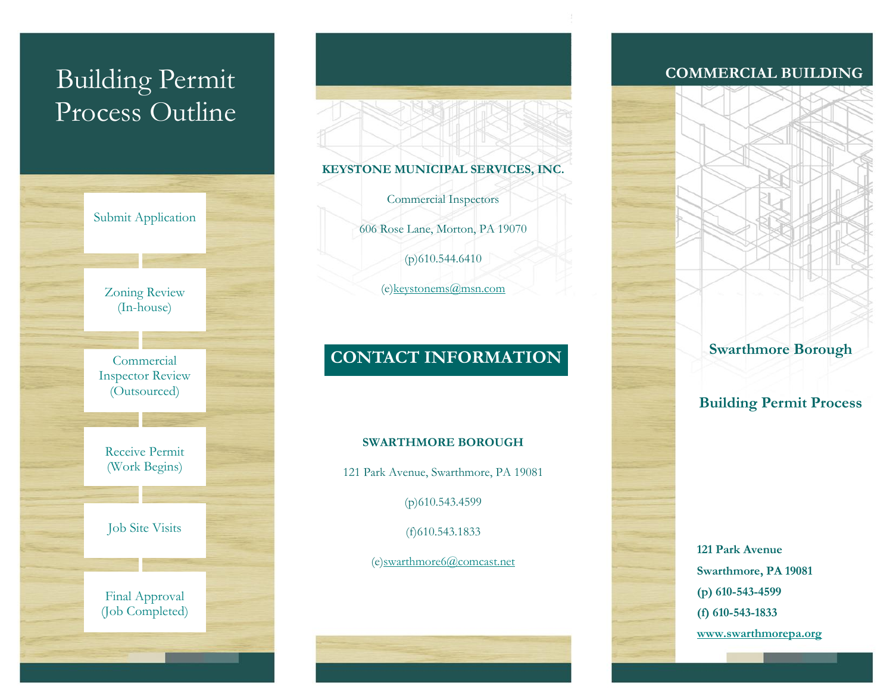# Building Permit Process Outline



### **KEYSTONE MUNICIPAL SERVICES, INC.**

Commercial Inspectors 606 Rose Lane, Morton, PA 19070  $(p)$ 610.544.6410 (e[\)keystonems@msn.com](mailto:keystonems@msn.com)

# **CONTACT INFORMATION**

#### **SWARTHMORE BOROUGH**

121 Park Avenue, Swarthmore, PA 19081

(p)610.543.4599

(f)610.543.1833

(e[\)swarthmore6@comcast.net](mailto:swarthmore6@comcast.net)

## **COMMERCIAL BUILDING**



**121 Park Avenue Swarthmore, PA 19081 (p) 610-543-4599 (f) 610-543-1833 [www.swarthmorepa.org](http://www.swarthmorepa.org/)**